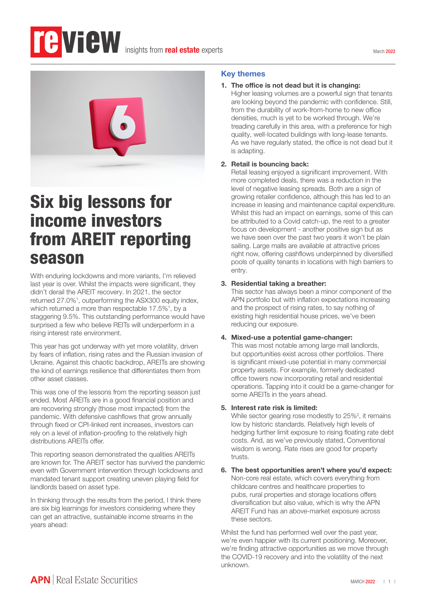

# Six big lessons for income investors from AREIT reporting season

With enduring lockdowns and more variants, I'm relieved last year is over. Whilst the impacts were significant, they didn't derail the AREIT recovery. In 2021, the sector returned 27.0%<sup>1</sup>, outperforming the ASX300 equity index, which returned a more than respectable 17.5%<sup>1</sup>, by a staggering 9.5%. This outstanding performance would have surprised a few who believe REITs will underperform in a rising interest rate environment.

This year has got underway with yet more volatility, driven by fears of inflation, rising rates and the Russian invasion of Ukraine. Against this chaotic backdrop, AREITs are showing the kind of earnings resilience that differentiates them from other asset classes.

This was one of the lessons from the reporting season just ended. Most AREITs are in a good financial position and are recovering strongly (those most impacted) from the pandemic. With defensive cashflows that grow annually through fixed or CPI-linked rent increases, investors can rely on a level of inflation-proofing to the relatively high distributions AREITs offer.

This reporting season demonstrated the qualities AREITs are known for. The AREIT sector has survived the pandemic even with Government intervention through lockdowns and mandated tenant support creating uneven playing field for landlords based on asset type.

In thinking through the results from the period, I think there are six big learnings for investors considering where they can get an attractive, sustainable income streams in the years ahead:

## Key themes

#### 1. The office is not dead but it is changing:

Higher leasing volumes are a powerful sign that tenants are looking beyond the pandemic with confidence. Still, from the durability of work-from-home to new office densities, much is yet to be worked through. We're treading carefully in this area, with a preference for high quality, well-located buildings with long-lease tenants. As we have regularly stated, the office is not dead but it is adapting.

#### 2. Retail is bouncing back:

Retail leasing enjoyed a significant improvement. With more completed deals, there was a reduction in the level of negative leasing spreads. Both are a sign of growing retailer confidence, although this has led to an increase in leasing and maintenance capital expenditure. Whilst this had an impact on earnings, some of this can be attributed to a Covid catch-up, the rest to a greater focus on development - another positive sign but as we have seen over the past two years it won't be plain sailing. Large malls are available at attractive prices right now, offering cashflows underpinned by diversified pools of quality tenants in locations with high barriers to entry.

### 3. Residential taking a breather:

This sector has always been a minor component of the APN portfolio but with inflation expectations increasing and the prospect of rising rates, to say nothing of existing high residential house prices, we've been reducing our exposure.

#### 4. Mixed-use a potential game-changer:

This was most notable among large mall landlords, but opportunities exist across other portfolios. There is significant mixed-use potential in many commercial property assets. For example, formerly dedicated office towers now incorporating retail and residential operations. Tapping into it could be a game-changer for some AREITs in the years ahead.

#### 5. Interest rate risk is limited:

While sector gearing rose modestly to 25%<sup>2</sup>, it remains low by historic standards. Relatively high levels of hedging further limit exposure to rising floating rate debt costs. And, as we've previously stated, Conventional wisdom is wrong. Rate rises are good for property trusts.

#### 6. The best opportunities aren't where you'd expect: Non-core real estate, which covers everything from childcare centres and healthcare properties to pubs, rural properties and storage locations offers diversification but also value, which is why the APN AREIT Fund has an above-market exposure across these sectors.

Whilst the fund has performed well over the past year, we're even happier with its current positioning. Moreover, we're finding attractive opportunities as we move through the COVID-19 recovery and into the volatility of the next unknown.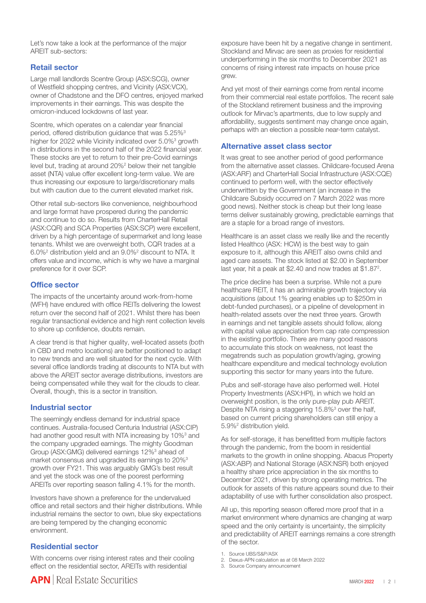Let's now take a look at the performance of the major AREIT sub-sectors:

#### Retail sector

Large mall landlords Scentre Group (ASX:SCG), owner of Westfield shopping centres, and Vicinity (ASX:VCX), owner of Chadstone and the DFO centres, enjoyed marked improvements in their earnings. This was despite the omicron-induced lockdowns of last year.

Scentre, which operates on a calendar year financial period, offered distribution guidance that was 5.25%<sup>3</sup> higher for 2022 while Vicinity indicated over 5.0%<sup>3</sup> growth in distributions in the second half of the 2022 financial year. These stocks are yet to return to their pre-Covid earnings level but, trading at around 20%<sup>2</sup> below their net tangible asset (NTA) value offer excellent long-term value. We are thus increasing our exposure to large/discretionary malls but with caution due to the current elevated market risk.

Other retail sub-sectors like convenience, neighbourhood and large format have prospered during the pandemic and continue to do so. Results from CharterHall Retail (ASX:CQR) and SCA Properties (ASX:SCP) were excellent, driven by a high percentage of supermarket and long lease tenants. Whilst we are overweight both, CQR trades at a 6.0%2 distribution yield and an 9.0%2 discount to NTA. It offers value and income, which is why we have a marginal preference for it over SCP.

### Office sector

The impacts of the uncertainty around work-from-home (WFH) have endured with office REITs delivering the lowest return over the second half of 2021. Whilst there has been regular transactional evidence and high rent collection levels to shore up confidence, doubts remain.

A clear trend is that higher quality, well-located assets (both in CBD and metro locations) are better positioned to adapt to new trends and are well situated for the next cycle. With several office landlords trading at discounts to NTA but with above the AREIT sector average distributions, investors are being compensated while they wait for the clouds to clear. Overall, though, this is a sector in transition.

#### Industrial sector

The seemingly endless demand for industrial space continues. Australia-focused Centuria Industrial (ASX:CIP) had another good result with NTA increasing by 10%<sup>3</sup> and the company upgraded earnings. The mighty Goodman Group (ASX:GMG) delivered earnings 12%<sup>3</sup> ahead of market consensus and upgraded its earnings to 20%3 growth over FY21. This was arguably GMG's best result and yet the stock was one of the poorest performing AREITs over reporting season falling 4.1% for the month.

Investors have shown a preference for the undervalued office and retail sectors and their higher distributions. While industrial remains the sector to own, blue sky expectations are being tempered by the changing economic environment.

#### Residential sector

With concerns over rising interest rates and their cooling effect on the residential sector, AREITs with residential

exposure have been hit by a negative change in sentiment. Stockland and Mirvac are seen as proxies for residential underperforming in the six months to December 2021 as concerns of rising interest rate impacts on house price grew.

And yet most of their earnings come from rental income from their commercial real estate portfolios. The recent sale of the Stockland retirement business and the improving outlook for Mirvac's apartments, due to low supply and affordability, suggests sentiment may change once again, perhaps with an election a possible near-term catalyst.

### Alternative asset class sector

It was great to see another period of good performance from the alternative asset classes. Childcare-focused Arena (ASX:ARF) and CharterHall Social Infrastructure (ASX:CQE) continued to perform well, with the sector effectively underwritten by the Government (an increase in the Childcare Subsidy occurred on 7 March 2022 was more good news). Neither stock is cheap but their long lease terms deliver sustainably growing, predictable earnings that are a staple for a broad range of investors.

Healthcare is an asset class we really like and the recently listed Healthco (ASX: HCW) is the best way to gain exposure to it, although this AREIT also owns child and aged care assets. The stock listed at \$2.00 in September last year, hit a peak at \$2.40 and now trades at \$1.87<sup>2</sup>.

The price decline has been a surprise. While not a pure healthcare REIT, it has an admirable growth trajectory via acquisitions (about 1% gearing enables up to \$250m in debt-funded purchases), or a pipeline of development in health-related assets over the next three years. Growth in earnings and net tangible assets should follow, along with capital value appreciation from cap rate compression in the existing portfolio. There are many good reasons to accumulate this stock on weakness, not least the megatrends such as population growth/aging, growing healthcare expenditure and medical technology evolution supporting this sector for many years into the future.

Pubs and self-storage have also performed well. Hotel Property Investments (ASX:HPI), in which we hold an overweight position, is the only pure-play pub AREIT. Despite NTA rising a staggering 15.8%<sup>3</sup> over the half, based on current pricing shareholders can still enjoy a 5.9%2 distribution yield.

As for self-storage, it has benefitted from multiple factors through the pandemic, from the boom in residential markets to the growth in online shopping. Abacus Property (ASX:ABP) and National Storage (ASX:NSR) both enjoyed a healthy share price appreciation in the six months to December 2021, driven by strong operating metrics. The outlook for assets of this nature appears sound due to their adaptability of use with further consolidation also prospect.

All up, this reporting season offered more proof that in a market environment where dynamics are changing at warp speed and the only certainty is uncertainty, the simplicity and predictability of AREIT earnings remains a core strength of the sector.

- 1. Source UBS/S&P/ASX
- 2. Dexus-APN calculation as at 08 March 2022
- 3. Source Company announcement